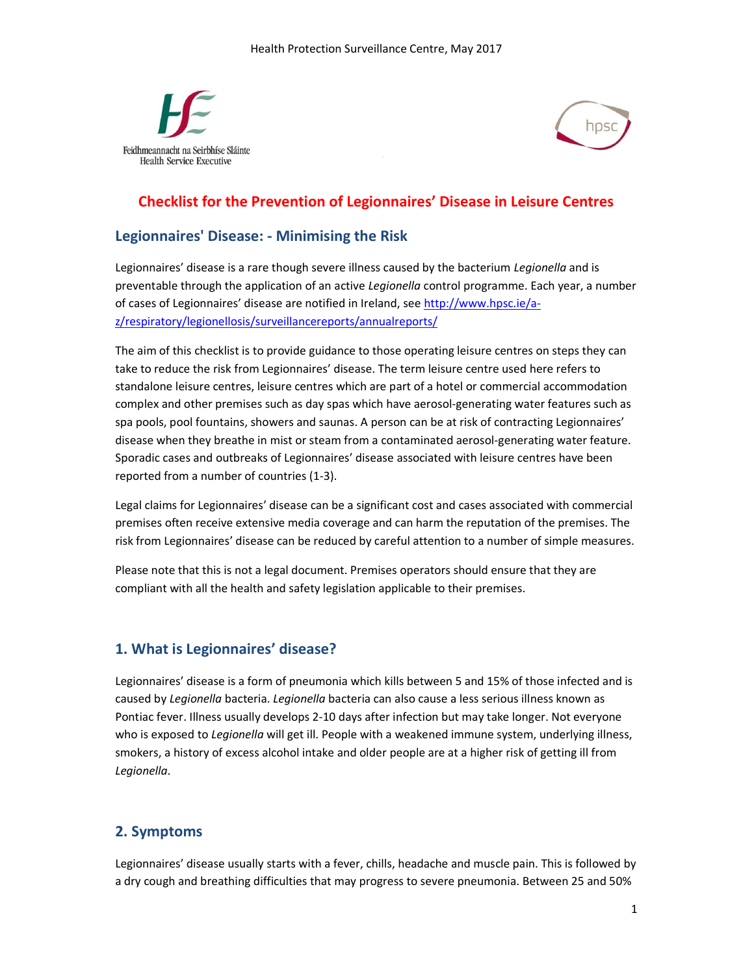



# Checklist for the Prevention of Legionnaires' Disease in Leisure Centres

#### Legionnaires' Disease: - Minimising the Risk

Legionnaires' disease is a rare though severe illness caused by the bacterium Legionella and is preventable through the application of an active Legionella control programme. Each year, a number of cases of Legionnaires' disease are notified in Ireland, see http://www.hpsc.ie/az/respiratory/legionellosis/surveillancereports/annualreports/

The aim of this checklist is to provide guidance to those operating leisure centres on steps they can take to reduce the risk from Legionnaires' disease. The term leisure centre used here refers to standalone leisure centres, leisure centres which are part of a hotel or commercial accommodation complex and other premises such as day spas which have aerosol-generating water features such as spa pools, pool fountains, showers and saunas. A person can be at risk of contracting Legionnaires' disease when they breathe in mist or steam from a contaminated aerosol-generating water feature. Sporadic cases and outbreaks of Legionnaires' disease associated with leisure centres have been reported from a number of countries (1-3).

Legal claims for Legionnaires' disease can be a significant cost and cases associated with commercial premises often receive extensive media coverage and can harm the reputation of the premises. The risk from Legionnaires' disease can be reduced by careful attention to a number of simple measures.

Please note that this is not a legal document. Premises operators should ensure that they are compliant with all the health and safety legislation applicable to their premises.

# 1. What is Legionnaires' disease?

Legionnaires' disease is a form of pneumonia which kills between 5 and 15% of those infected and is caused by Legionella bacteria. Legionella bacteria can also cause a less serious illness known as Pontiac fever. Illness usually develops 2-10 days after infection but may take longer. Not everyone who is exposed to Legionella will get ill. People with a weakened immune system, underlying illness, smokers, a history of excess alcohol intake and older people are at a higher risk of getting ill from Legionella.

# 2. Symptoms

Legionnaires' disease usually starts with a fever, chills, headache and muscle pain. This is followed by a dry cough and breathing difficulties that may progress to severe pneumonia. Between 25 and 50%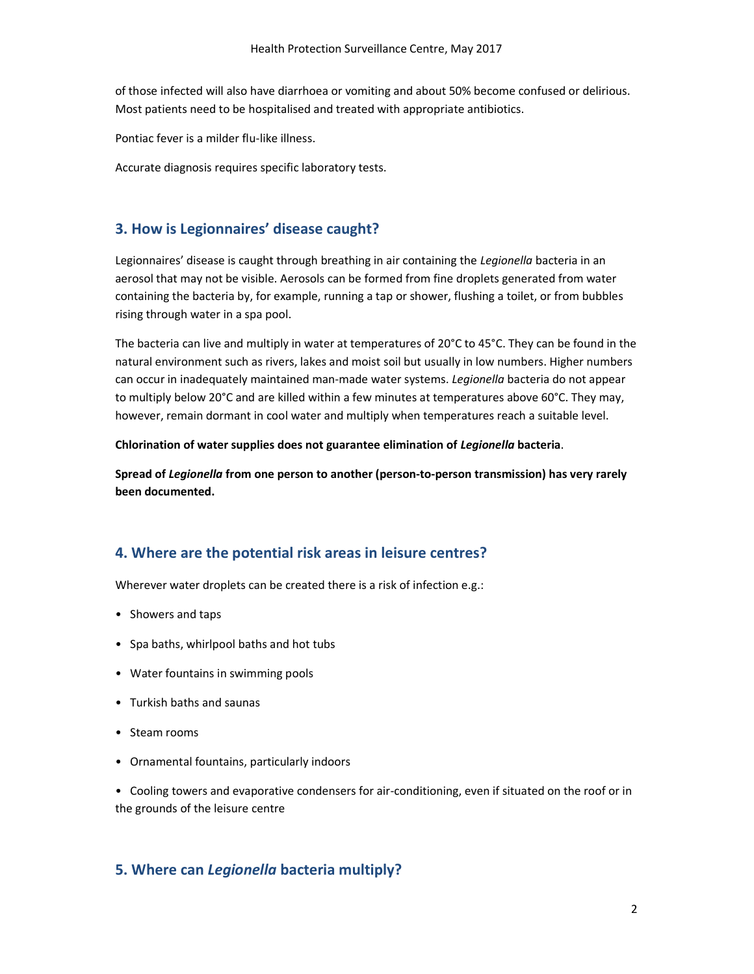of those infected will also have diarrhoea or vomiting and about 50% become confused or delirious. Most patients need to be hospitalised and treated with appropriate antibiotics.

Pontiac fever is a milder flu-like illness.

Accurate diagnosis requires specific laboratory tests.

#### 3. How is Legionnaires' disease caught?

Legionnaires' disease is caught through breathing in air containing the Legionella bacteria in an aerosol that may not be visible. Aerosols can be formed from fine droplets generated from water containing the bacteria by, for example, running a tap or shower, flushing a toilet, or from bubbles rising through water in a spa pool.

The bacteria can live and multiply in water at temperatures of 20°C to 45°C. They can be found in the natural environment such as rivers, lakes and moist soil but usually in low numbers. Higher numbers can occur in inadequately maintained man-made water systems. Legionella bacteria do not appear to multiply below 20°C and are killed within a few minutes at temperatures above 60°C. They may, however, remain dormant in cool water and multiply when temperatures reach a suitable level.

Chlorination of water supplies does not guarantee elimination of Legionella bacteria.

Spread of Legionella from one person to another (person-to-person transmission) has very rarely been documented.

# 4. Where are the potential risk areas in leisure centres?

Wherever water droplets can be created there is a risk of infection e.g.:

- Showers and taps
- Spa baths, whirlpool baths and hot tubs
- Water fountains in swimming pools
- Turkish baths and saunas
- Steam rooms
- Ornamental fountains, particularly indoors

• Cooling towers and evaporative condensers for air-conditioning, even if situated on the roof or in the grounds of the leisure centre

#### 5. Where can Legionella bacteria multiply?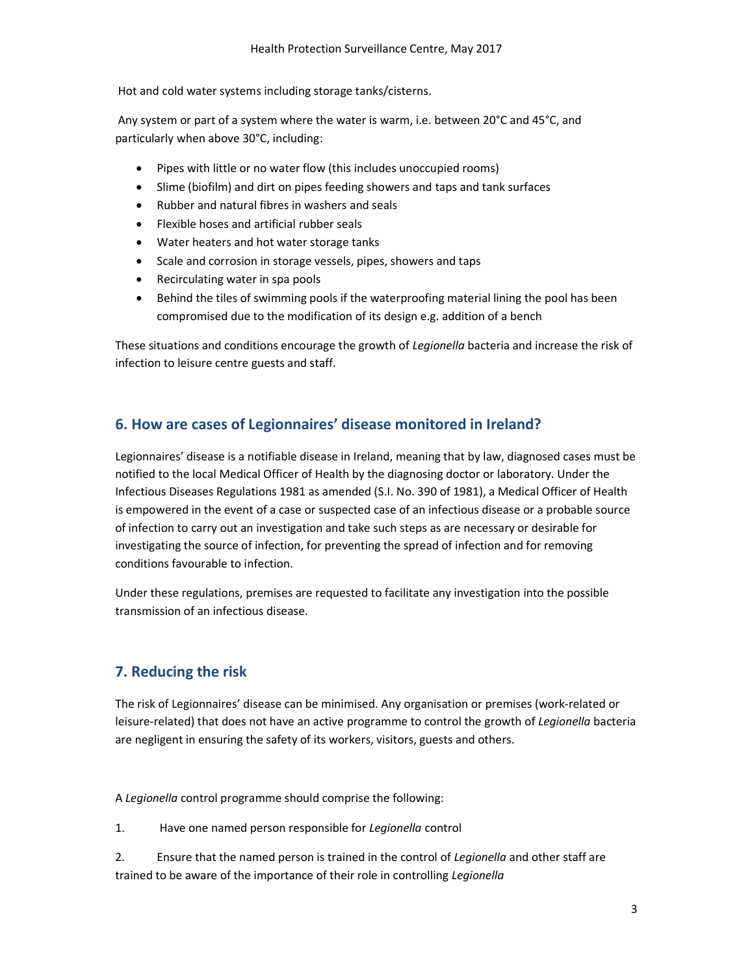Hot and cold water systems including storage tanks/cisterns.

 Any system or part of a system where the water is warm, i.e. between 20°C and 45°C, and particularly when above 30°C, including:

- Pipes with little or no water flow (this includes unoccupied rooms)
- Slime (biofilm) and dirt on pipes feeding showers and taps and tank surfaces
- Rubber and natural fibres in washers and seals
- Flexible hoses and artificial rubber seals
- Water heaters and hot water storage tanks
- Scale and corrosion in storage vessels, pipes, showers and taps
- Recirculating water in spa pools
- Behind the tiles of swimming pools if the waterproofing material lining the pool has been compromised due to the modification of its design e.g. addition of a bench

These situations and conditions encourage the growth of Legionella bacteria and increase the risk of infection to leisure centre guests and staff.

# 6. How are cases of Legionnaires' disease monitored in Ireland?

Legionnaires' disease is a notifiable disease in Ireland, meaning that by law, diagnosed cases must be notified to the local Medical Officer of Health by the diagnosing doctor or laboratory. Under the Infectious Diseases Regulations 1981 as amended (S.I. No. 390 of 1981), a Medical Officer of Health is empowered in the event of a case or suspected case of an infectious disease or a probable source of infection to carry out an investigation and take such steps as are necessary or desirable for investigating the source of infection, for preventing the spread of infection and for removing conditions favourable to infection.

Under these regulations, premises are requested to facilitate any investigation into the possible transmission of an infectious disease.

# 7. Reducing the risk

The risk of Legionnaires' disease can be minimised. Any organisation or premises (work-related or leisure-related) that does not have an active programme to control the growth of Legionella bacteria are negligent in ensuring the safety of its workers, visitors, guests and others.

A Legionella control programme should comprise the following:

1. Have one named person responsible for Legionella control

2. Ensure that the named person is trained in the control of Legionella and other staff are trained to be aware of the importance of their role in controlling Legionella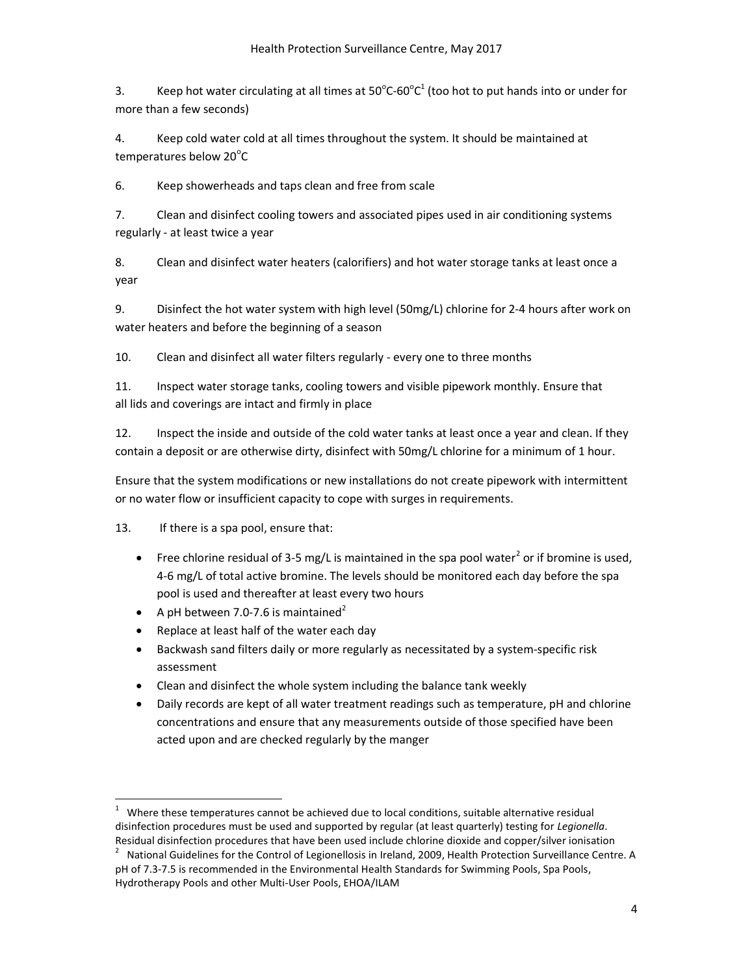3. Keep hot water circulating at all times at  $50^{\circ}$ C-60 $^{\circ}$ C<sup>1</sup> (too hot to put hands into or under for more than a few seconds)

4. Keep cold water cold at all times throughout the system. It should be maintained at temperatures below 20°C

6. Keep showerheads and taps clean and free from scale

7. Clean and disinfect cooling towers and associated pipes used in air conditioning systems regularly - at least twice a year

8. Clean and disinfect water heaters (calorifiers) and hot water storage tanks at least once a year

9. Disinfect the hot water system with high level (50mg/L) chlorine for 2-4 hours after work on water heaters and before the beginning of a season

10. Clean and disinfect all water filters regularly - every one to three months

11. Inspect water storage tanks, cooling towers and visible pipework monthly. Ensure that all lids and coverings are intact and firmly in place

12. Inspect the inside and outside of the cold water tanks at least once a year and clean. If they contain a deposit or are otherwise dirty, disinfect with 50mg/L chlorine for a minimum of 1 hour.

Ensure that the system modifications or new installations do not create pipework with intermittent or no water flow or insufficient capacity to cope with surges in requirements.

13. If there is a spa pool, ensure that:

1

- Free chlorine residual of 3-5 mg/L is maintained in the spa pool water<sup>2</sup> or if bromine is used, 4-6 mg/L of total active bromine. The levels should be monitored each day before the spa pool is used and thereafter at least every two hours
- A pH between 7.0-7.6 is maintained<sup>2</sup>
- Replace at least half of the water each day
- Backwash sand filters daily or more regularly as necessitated by a system-specific risk assessment
- Clean and disinfect the whole system including the balance tank weekly
- Daily records are kept of all water treatment readings such as temperature, pH and chlorine concentrations and ensure that any measurements outside of those specified have been acted upon and are checked regularly by the manger

<sup>1</sup> Where these temperatures cannot be achieved due to local conditions, suitable alternative residual disinfection procedures must be used and supported by regular (at least quarterly) testing for Legionella. Residual disinfection procedures that have been used include chlorine dioxide and copper/silver ionisation 2

National Guidelines for the Control of Legionellosis in Ireland, 2009, Health Protection Surveillance Centre. A pH of 7.3-7.5 is recommended in the Environmental Health Standards for Swimming Pools, Spa Pools, Hydrotherapy Pools and other Multi-User Pools, EHOA/ILAM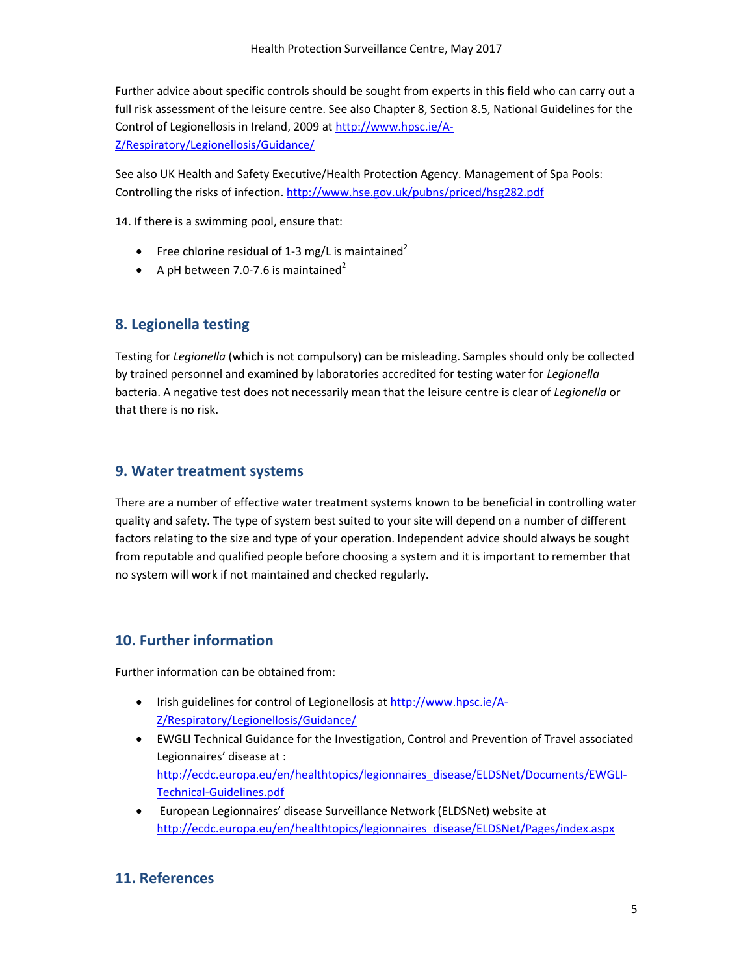Further advice about specific controls should be sought from experts in this field who can carry out a full risk assessment of the leisure centre. See also Chapter 8, Section 8.5, National Guidelines for the Control of Legionellosis in Ireland, 2009 at http://www.hpsc.ie/A-Z/Respiratory/Legionellosis/Guidance/

See also UK Health and Safety Executive/Health Protection Agency. Management of Spa Pools: Controlling the risks of infection. http://www.hse.gov.uk/pubns/priced/hsg282.pdf

14. If there is a swimming pool, ensure that:

- Free chlorine residual of 1-3 mg/L is maintained<sup>2</sup>
- A pH between 7.0-7.6 is maintained<sup>2</sup>

#### 8. Legionella testing

Testing for Legionella (which is not compulsory) can be misleading. Samples should only be collected by trained personnel and examined by laboratories accredited for testing water for Legionella bacteria. A negative test does not necessarily mean that the leisure centre is clear of Legionella or that there is no risk.

#### 9. Water treatment systems

There are a number of effective water treatment systems known to be beneficial in controlling water quality and safety. The type of system best suited to your site will depend on a number of different factors relating to the size and type of your operation. Independent advice should always be sought from reputable and qualified people before choosing a system and it is important to remember that no system will work if not maintained and checked regularly.

# 10. Further information

Further information can be obtained from:

- Irish guidelines for control of Legionellosis at http://www.hpsc.ie/A-Z/Respiratory/Legionellosis/Guidance/
- EWGLI Technical Guidance for the Investigation, Control and Prevention of Travel associated Legionnaires' disease at : http://ecdc.europa.eu/en/healthtopics/legionnaires\_disease/ELDSNet/Documents/EWGLI-Technical-Guidelines.pdf
- European Legionnaires' disease Surveillance Network (ELDSNet) website at http://ecdc.europa.eu/en/healthtopics/legionnaires\_disease/ELDSNet/Pages/index.aspx

# 11. References